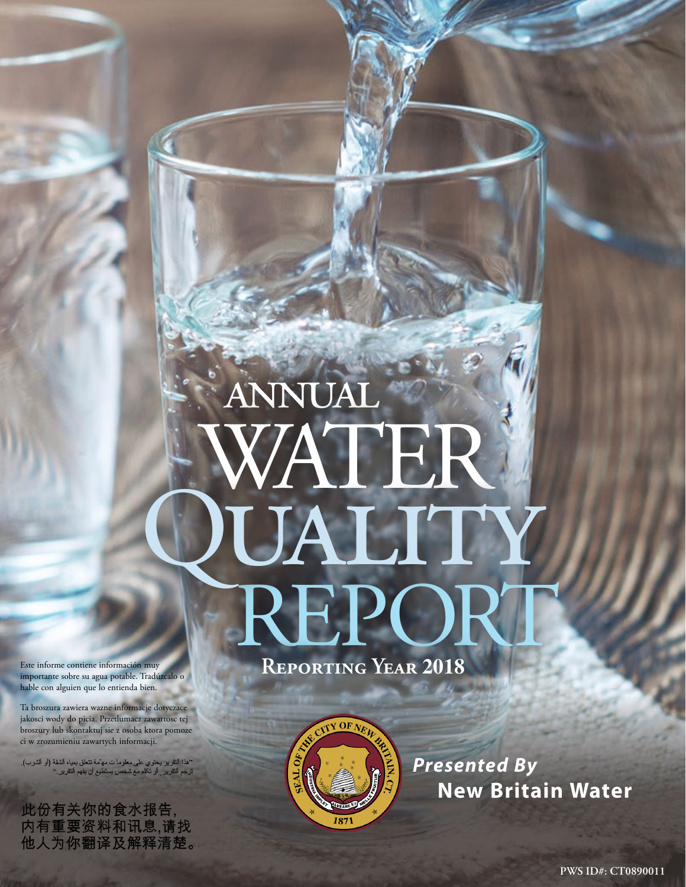# annual WATER UALIT<br>REPOR

**Reporting Year 2018**



*Presented By* **New Britain Water**

Este informe contiene información muy importante sobre su agua potable. Tradúzcalo o hable con alguien que lo entienda bien.

Ta broszura zawiera wazne informacje dotyczace jakosci wody do picia. Przetlumacz zawartosc tej broszury lub skontaktuj sie z osoba ktora pomoze ci w zrozumieniu zawartych informacji.

''هذا النقرير يحتوي على معلوماً ت مه<sup>ن</sup>مهُ تتعلق بمياه الشفة (أو الشرب).<br>ترجم التقرير <sub>,</sub> أو تكلم مع شخص يستطيع أن يفهم النقرير .''

此份有关你的食水报告, 内有重要资料和讯息,请找 他人为你翻译及解释清楚。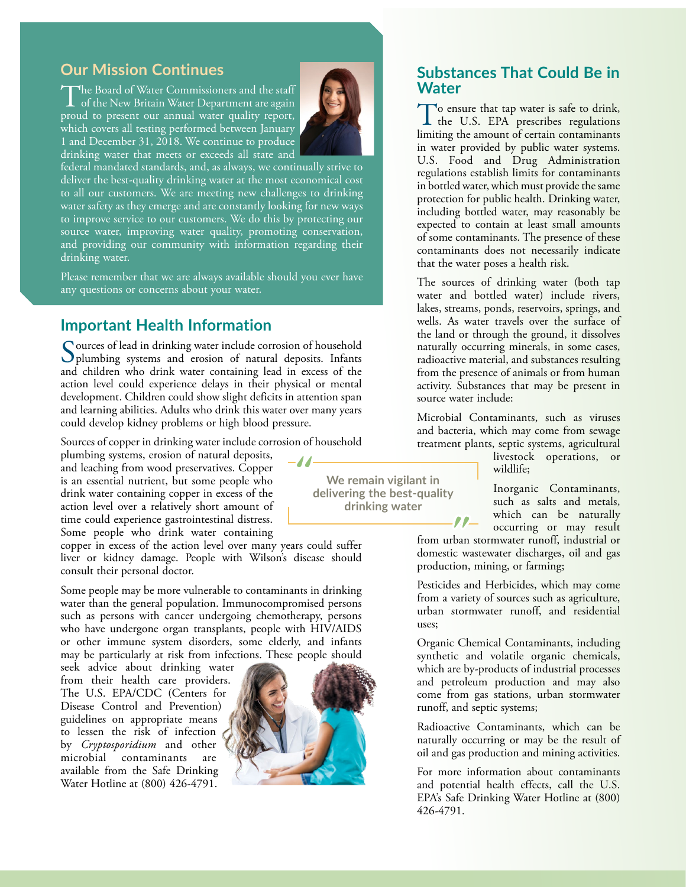# **Our Mission Continues**

The Board of Water Commissioners and the staff<br>of the New Britain Water Department are again<br>named to accessory of a granual surface surface agents proud to present our annual water quality report, which covers all testing performed between January 1 and December 31, 2018. We continue to produce drinking water that meets or exceeds all state and



federal mandated standards, and, as always, we continually strive to deliver the best-quality drinking water at the most economical cost to all our customers. We are meeting new challenges to drinking water safety as they emerge and are constantly looking for new ways to improve service to our customers. We do this by protecting our source water, improving water quality, promoting conservation, and providing our community with information regarding their drinking water.

Please remember that we are always available should you ever have any questions or concerns about your water.

#### **Important Health Information**

Sources of lead in drinking water include corrosion of household<br>plumbing systems and erosion of natural deposits. Infants and children who drink water containing lead in excess of the action level could experience delays in their physical or mental development. Children could show slight deficits in attention span and learning abilities. Adults who drink this water over many years could develop kidney problems or high blood pressure.

Sources of copper in drinking water include corrosion of household

plumbing systems, erosion of natural deposits, and leaching from wood preservatives. Copper is an essential nutrient, but some people who drink water containing copper in excess of the action level over a relatively short amount of time could experience gastrointestinal distress. Some people who drink water containing

copper in excess of the action level over many years could suffer liver or kidney damage. People with Wilson's disease should consult their personal doctor.

Some people may be more vulnerable to contaminants in drinking water than the general population. Immunocompromised persons such as persons with cancer undergoing chemotherapy, persons who have undergone organ transplants, people with HIV/AIDS or other immune system disorders, some elderly, and infants may be particularly at risk from infections. These people should

seek advice about drinking water from their health care providers. The U.S. EPA/CDC (Centers for Disease Control and Prevention) guidelines on appropriate means to lessen the risk of infection by *Cryptosporidium* and other contaminants are available from the Safe Drinking Water Hotline at (800) 426-4791.



 $-11-$ 

## **Substances That Could Be in Water**

To ensure that tap water is safe to drink,<br>the U.S. EPA prescribes regulations limiting the amount of certain contaminants in water provided by public water systems. U.S. Food and Drug Administration regulations establish limits for contaminants in bottled water, which must provide the same protection for public health. Drinking water, including bottled water, may reasonably be expected to contain at least small amounts of some contaminants. The presence of these contaminants does not necessarily indicate that the water poses a health risk.

The sources of drinking water (both tap water and bottled water) include rivers, lakes, streams, ponds, reservoirs, springs, and wells. As water travels over the surface of the land or through the ground, it dissolves naturally occurring minerals, in some cases, radioactive material, and substances resulting from the presence of animals or from human activity. Substances that may be present in source water include:

Microbial Contaminants, such as viruses and bacteria, which may come from sewage treatment plants, septic systems, agricultural

livestock operations, or wildlife;

Inorganic Contaminants, such as salts and metals, which can be naturally occurring or may result

from urban stormwater runoff, industrial or domestic wastewater discharges, oil and gas production, mining, or farming;

Pesticides and Herbicides, which may come from a variety of sources such as agriculture, urban stormwater runoff, and residential uses;

Organic Chemical Contaminants, including synthetic and volatile organic chemicals, which are by-products of industrial processes and petroleum production and may also come from gas stations, urban stormwater runoff, and septic systems;

Radioactive Contaminants, which can be naturally occurring or may be the result of oil and gas production and mining activities.

For more information about contaminants and potential health effects, call the U.S. EPA's Safe Drinking Water Hotline at (800) 426-4791.

**We remain vigilant in delivering the best-quality drinking water**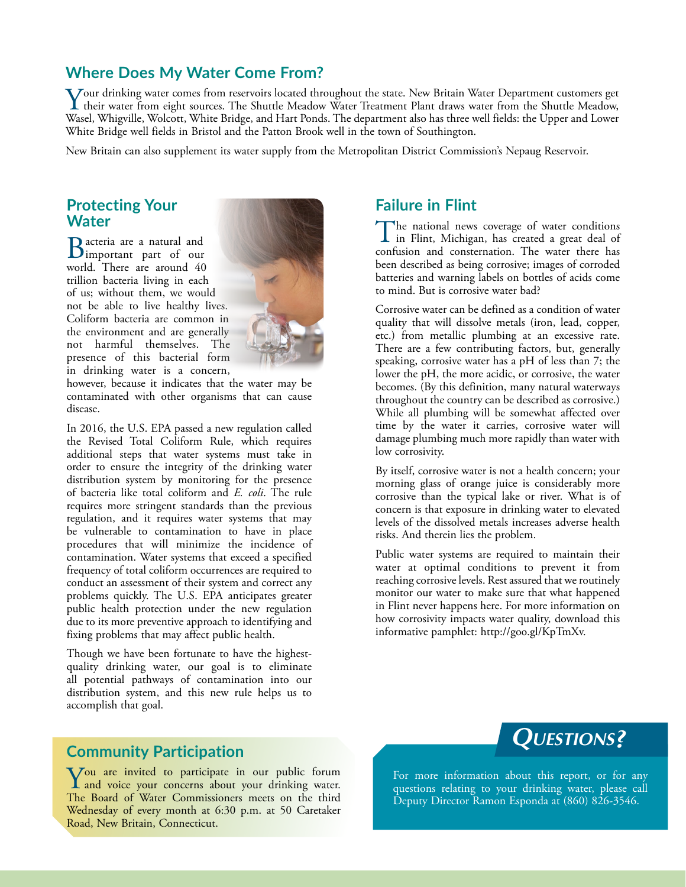## **Where Does My Water Come From?**

Your drinking water comes from reservoirs located throughout the state. New Britain Water Department customers get<br>their water from eight sources. The Shuttle Meadow Water Treatment Plant draws water from the Shuttle Meado Wasel, Whigville, Wolcott, White Bridge, and Hart Ponds. The department also has three well fields: the Upper and Lower White Bridge well fields in Bristol and the Patton Brook well in the town of Southington.

New Britain can also supplement its water supply from the Metropolitan District Commission's Nepaug Reservoir.

## **Protecting Your Water**

Bacteria are a natural and important part of our world. There are around 40 trillion bacteria living in each of us; without them, we would not be able to live healthy lives. Coliform bacteria are common in the environment and are generally not harmful themselves. The presence of this bacterial form in drinking water is a concern,



however, because it indicates that the water may be contaminated with other organisms that can cause disease.

In 2016, the U.S. EPA passed a new regulation called the Revised Total Coliform Rule, which requires additional steps that water systems must take in order to ensure the integrity of the drinking water distribution system by monitoring for the presence of bacteria like total coliform and *E. coli*. The rule requires more stringent standards than the previous regulation, and it requires water systems that may be vulnerable to contamination to have in place procedures that will minimize the incidence of contamination. Water systems that exceed a specified frequency of total coliform occurrences are required to conduct an assessment of their system and correct any problems quickly. The U.S. EPA anticipates greater public health protection under the new regulation due to its more preventive approach to identifying and fixing problems that may affect public health.

Though we have been fortunate to have the highestquality drinking water, our goal is to eliminate all potential pathways of contamination into our distribution system, and this new rule helps us to accomplish that goal.

# **Community Participation**

You are invited to participate in our public forum<br>and voice your concerns about your drinking water. The Board of Water Commissioners meets on the third Wednesday of every month at 6:30 p.m. at 50 Caretaker Road, New Britain, Connecticut.

# **Failure in Flint**

The national news coverage of water conditions<br>in Flint, Michigan, has created a great deal of confusion and consternation. The water there has been described as being corrosive; images of corroded batteries and warning labels on bottles of acids come to mind. But is corrosive water bad?

Corrosive water can be defined as a condition of water quality that will dissolve metals (iron, lead, copper, etc.) from metallic plumbing at an excessive rate. There are a few contributing factors, but, generally speaking, corrosive water has a pH of less than 7; the lower the pH, the more acidic, or corrosive, the water becomes. (By this definition, many natural waterways throughout the country can be described as corrosive.) While all plumbing will be somewhat affected over time by the water it carries, corrosive water will damage plumbing much more rapidly than water with low corrosivity.

By itself, corrosive water is not a health concern; your morning glass of orange juice is considerably more corrosive than the typical lake or river. What is of concern is that exposure in drinking water to elevated levels of the dissolved metals increases adverse health risks. And therein lies the problem.

Public water systems are required to maintain their water at optimal conditions to prevent it from reaching corrosive levels. Rest assured that we routinely monitor our water to make sure that what happened in Flint never happens here. For more information on how corrosivity impacts water quality, download this informative pamphlet: [http://goo.gl/KpTmXv.](http://goo.gl/KpTmXv)



For more information about this report, or for any questions relating to your drinking water, please call Deputy Director Ramon Esponda at (860) 826-3546.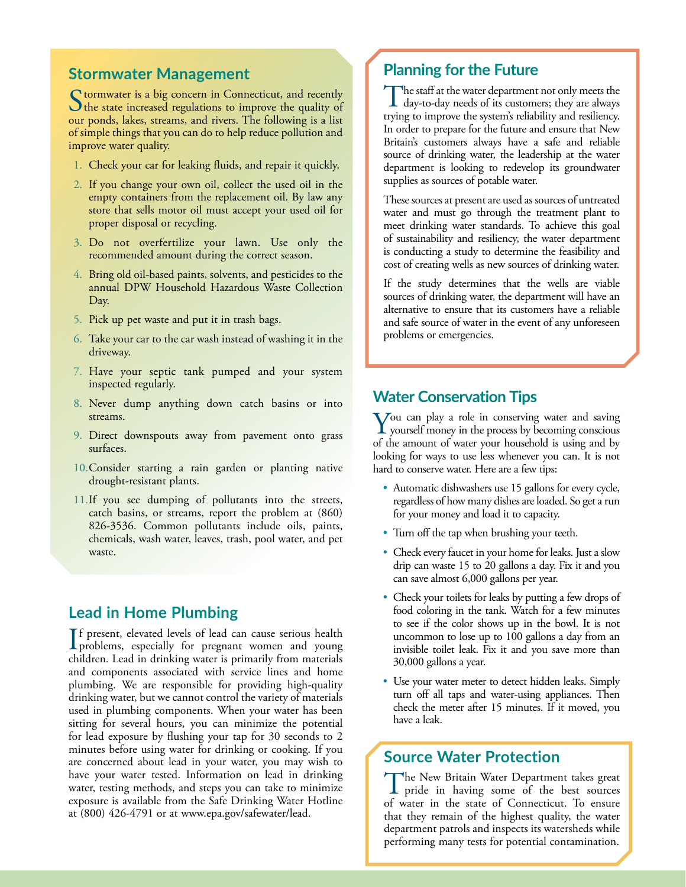### **Stormwater Management**

Stormwater is a big concern in Connecticut, and recently<br>the state increased regulations to improve the quality of<br>the state of the strenge and situate The following is a little our ponds, lakes, streams, and rivers. The following is a list of simple things that you can do to help reduce pollution and improve water quality.

- 1. Check your car for leaking fluids, and repair it quickly.
- 2. If you change your own oil, collect the used oil in the empty containers from the replacement oil. By law any store that sells motor oil must accept your used oil for proper disposal or recycling.
- 3. Do not overfertilize your lawn. Use only the recommended amount during the correct season.
- 4. Bring old oil-based paints, solvents, and pesticides to the annual DPW Household Hazardous Waste Collection Day.
- 5. Pick up pet waste and put it in trash bags.
- 6. Take your car to the car wash instead of washing it in the driveway.
- 7. Have your septic tank pumped and your system inspected regularly.
- 8. Never dump anything down catch basins or into streams.
- 9. Direct downspouts away from pavement onto grass surfaces.
- 10.Consider starting a rain garden or planting native drought-resistant plants.
- 11.If you see dumping of pollutants into the streets, catch basins, or streams, report the problem at (860) 826-3536. Common pollutants include oils, paints, chemicals, wash water, leaves, trash, pool water, and pet waste.

#### **Lead in Home Plumbing**

If present, elevated levels of lead can cause serious health<br>problems, especially for pregnant women and young<br>hildren I od in diplate measurements from meaning problems, especially for pregnant women and young children. Lead in drinking water is primarily from materials and components associated with service lines and home plumbing. We are responsible for providing high-quality drinking water, but we cannot control the variety of materials used in plumbing components. When your water has been sitting for several hours, you can minimize the potential for lead exposure by flushing your tap for 30 seconds to 2 minutes before using water for drinking or cooking. If you are concerned about lead in your water, you may wish to have your water tested. Information on lead in drinking water, testing methods, and steps you can take to minimize exposure is available from the Safe Drinking Water Hotline at (800) 426-4791 or at [www.epa.gov/safewater/lead](http://www.epa.gov/safewater/lead).

# **Planning for the Future**

The staff at the water department not only meets the day-to-day needs of its customers; they are always trying to improve the system's reliability and resiliency. In order to prepare for the future and ensure that New Britain's customers always have a safe and reliable source of drinking water, the leadership at the water department is looking to redevelop its groundwater supplies as sources of potable water.

These sources at present are used as sources of untreated water and must go through the treatment plant to meet drinking water standards. To achieve this goal of sustainability and resiliency, the water department is conducting a study to determine the feasibility and cost of creating wells as new sources of drinking water.

If the study determines that the wells are viable sources of drinking water, the department will have an alternative to ensure that its customers have a reliable and safe source of water in the event of any unforeseen problems or emergencies.

#### **Water Conservation Tips**

 $\sum$  you can play a role in conserving water and saving yourself money in the process by becoming conscious of the amount of water your household is using and by looking for ways to use less whenever you can. It is not hard to conserve water. Here are a few tips:

- Automatic dishwashers use 15 gallons for every cycle, regardless of how many dishes are loaded. So get a run for your money and load it to capacity.
- Turn off the tap when brushing your teeth.
- Check every faucet in your home for leaks. Just a slow drip can waste 15 to 20 gallons a day. Fix it and you can save almost 6,000 gallons per year.
- Check your toilets for leaks by putting a few drops of food coloring in the tank. Watch for a few minutes to see if the color shows up in the bowl. It is not uncommon to lose up to 100 gallons a day from an invisible toilet leak. Fix it and you save more than 30,000 gallons a year.
- Use your water meter to detect hidden leaks. Simply turn off all taps and water-using appliances. Then check the meter after 15 minutes. If it moved, you have a leak.

#### **Source Water Protection**

The New Britain Water Department takes great I pride in having some of the best sources of water in the state of Connecticut. To ensure that they remain of the highest quality, the water department patrols and inspects its watersheds while performing many tests for potential contamination.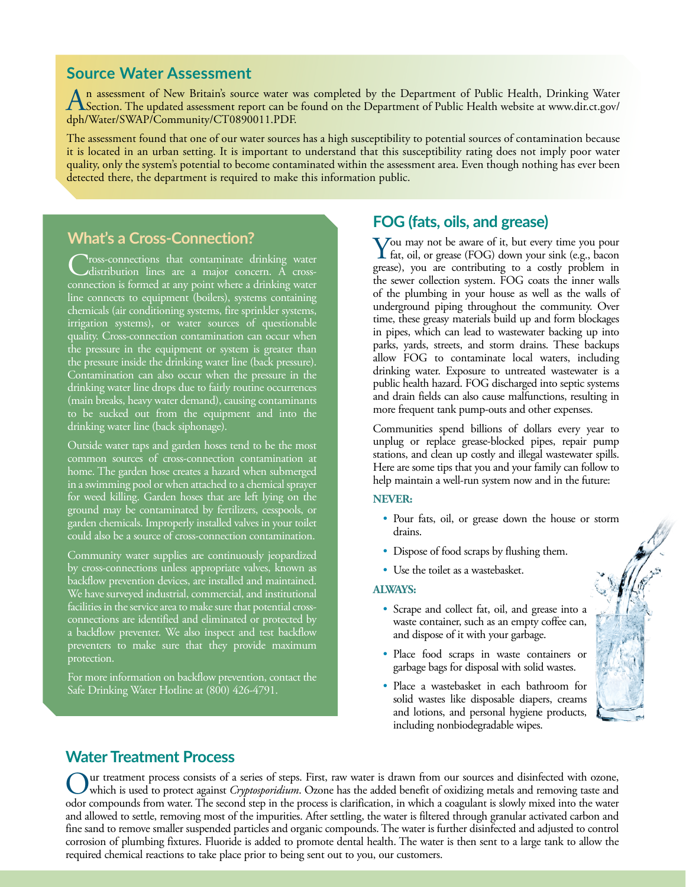### **Source Water Assessment**

An assessment of New Britain's source water was completed by the Department of Public Health, [Drinking Water](http://www.dir.ct.gov/dph/Water/SWAP/Community/CT0890011.PDF) Section. The updated assessment report can be found on the Department of Public Health website at www.dir.ct.gov/ [dph/Water/SWAP/Community/CT0890011.PDF](http://www.dir.ct.gov/dph/Water/SWAP/Community/CT0890011.PDF).

The assessment found that one of our water sources has a high susceptibility to potential sources of contamination because it is located in an urban setting. It is important to understand that this susceptibility rating does not imply poor water quality, only the system's potential to become contaminated within the assessment area. Even though nothing has ever been detected there, the department is required to make this information public.

## **What's a Cross-Connection?**

**Tross-connections that contaminate drinking water** distribution lines are a major concern. A crossconnection is formed at any point where a drinking water line connects to equipment (boilers), systems containing chemicals (air conditioning systems, fire sprinkler systems, irrigation systems), or water sources of questionable quality. Cross-connection contamination can occur when the pressure in the equipment or system is greater than the pressure inside the drinking water line (back pressure). Contamination can also occur when the pressure in the drinking water line drops due to fairly routine occurrences (main breaks, heavy water demand), causing contaminants to be sucked out from the equipment and into the drinking water line (back siphonage).

Outside water taps and garden hoses tend to be the most common sources of cross-connection contamination at home. The garden hose creates a hazard when submerged in a swimming pool or when attached to a chemical sprayer for weed killing. Garden hoses that are left lying on the ground may be contaminated by fertilizers, cesspools, or garden chemicals. Improperly installed valves in your toilet could also be a source of cross-connection contamination.

Community water supplies are continuously jeopardized by cross-connections unless appropriate valves, known as backflow prevention devices, are installed and maintained. We have surveyed industrial, commercial, and institutional facilities in the service area to make sure that potential crossconnections are identified and eliminated or protected by a backflow preventer. We also inspect and test backflow preventers to make sure that they provide maximum protection.

For more information on backflow prevention, contact the Safe Drinking Water Hotline at (800) 426-4791.

# **FOG (fats, oils, and grease)**

You may not be aware of it, but every time you pour<br>fat, oil, or grease (FOG) down your sink (e.g., bacon grease), you are contributing to a costly problem in the sewer collection system. FOG coats the inner walls of the plumbing in your house as well as the walls of underground piping throughout the community. Over time, these greasy materials build up and form blockages in pipes, which can lead to wastewater backing up into parks, yards, streets, and storm drains. These backups allow FOG to contaminate local waters, including drinking water. Exposure to untreated wastewater is a public health hazard. FOG discharged into septic systems and drain fields can also cause malfunctions, resulting in more frequent tank pump-outs and other expenses.

Communities spend billions of dollars every year to unplug or replace grease-blocked pipes, repair pump stations, and clean up costly and illegal wastewater spills. Here are some tips that you and your family can follow to help maintain a well-run system now and in the future:

#### **NEVER:**

- Pour fats, oil, or grease down the house or storm drains.
- Dispose of food scraps by flushing them.
- Use the toilet as a wastebasket.

#### **ALWAYS:**

- Scrape and collect fat, oil, and grease into a waste container, such as an empty coffee can, and dispose of it with your garbage.
- Place food scraps in waste containers or garbage bags for disposal with solid wastes.
- Place a wastebasket in each bathroom for solid wastes like disposable diapers, creams and lotions, and personal hygiene products, including nonbiodegradable wipes.



# **Water Treatment Process**

Our treatment process consists of a series of steps. First, raw water is drawn from our sources and disinfected with ozone,<br>which is used to protect against *Cryptosporidium*. Ozone has the added benefit of oxidizing metal odor compounds from water. The second step in the process is clarification, in which a coagulant is slowly mixed into the water and allowed to settle, removing most of the impurities. After settling, the water is filtered through granular activated carbon and fine sand to remove smaller suspended particles and organic compounds. The water is further disinfected and adjusted to control corrosion of plumbing fixtures. Fluoride is added to promote dental health. The water is then sent to a large tank to allow the required chemical reactions to take place prior to being sent out to you, our customers.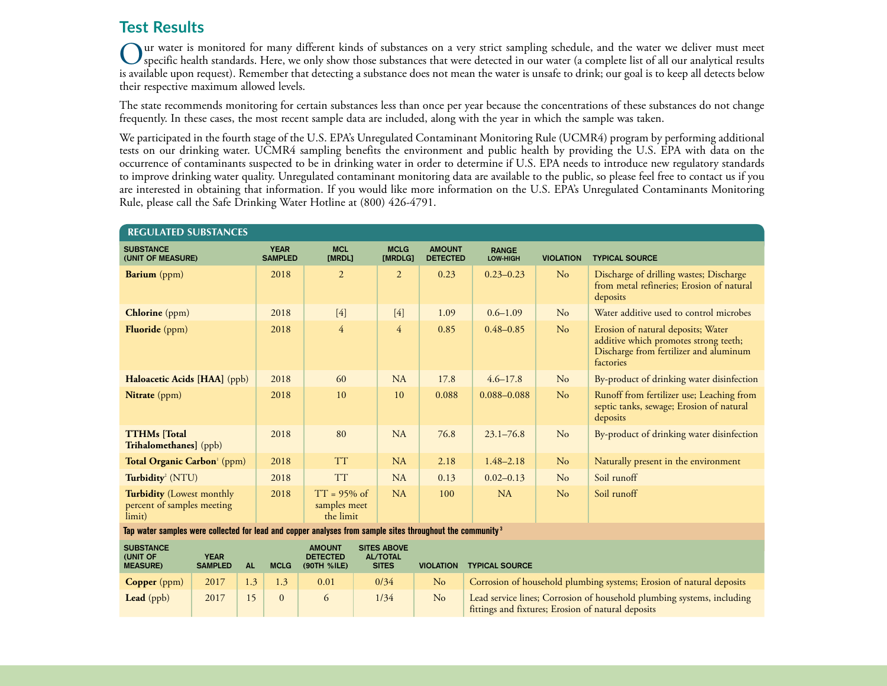# **Test Results**

Our water is monitored for many different kinds of substances on a very strict sampling schedule, and the water we deliver must meet<br>Specific health standards. Here, we only show those substances that were detected in our is available upon request). Remember that detecting a substance does not mean the water is unsafe to drink; our goal is to keep all detects below their respective maximum allowed levels.

The state recommends monitoring for certain substances less than once per year because the concentrations of these substances do not change frequently. In these cases, the most recent sample data are included, along with the year in which the sample was taken.

We participated in the fourth stage of the U.S. EPA's Unregulated Contaminant Monitoring Rule (UCMR4) program by performing additional tests on our drinking water. UCMR4 sampling benefits the environment and public health by providing the U.S. EPA with data on the occurrence of contaminants suspected to be in drinking water in order to determine if U.S. EPA needs to introduce new regulatory standards to improve drinking water quality. Unregulated contaminant monitoring data are available to the public, so please feel free to contact us if you are interested in obtaining that information. If you would like more information on the U.S. EPA's Unregulated Contaminants Monitoring Rule, please call the Safe Drinking Water Hotline at (800) 426-4791.

| <b>REGULATED SUBSTANCES</b>                                                                                           |  |     |                               |                                                                                                          |                        |  |                                  |                                                                        |                  |                                                                                                                                    |  |  |
|-----------------------------------------------------------------------------------------------------------------------|--|-----|-------------------------------|----------------------------------------------------------------------------------------------------------|------------------------|--|----------------------------------|------------------------------------------------------------------------|------------------|------------------------------------------------------------------------------------------------------------------------------------|--|--|
| <b>SUBSTANCE</b><br>(UNIT OF MEASURE)                                                                                 |  |     | <b>YEAR</b><br><b>SAMPLED</b> | <b>MCL</b><br>[MRDL]                                                                                     | <b>MCLG</b><br>[MRDLG] |  | <b>AMOUNT</b><br><b>DETECTED</b> | <b>RANGE</b><br>LOW-HIGH                                               | <b>VIOLATION</b> | <b>TYPICAL SOURCE</b>                                                                                                              |  |  |
| <b>Barium</b> (ppm)                                                                                                   |  |     | 2018                          | $\overline{2}$                                                                                           | $\overline{2}$         |  | 0.23                             | $0.23 - 0.23$                                                          | N <sub>o</sub>   | Discharge of drilling wastes; Discharge<br>from metal refineries; Erosion of natural<br>deposits                                   |  |  |
| <b>Chlorine</b> (ppm)                                                                                                 |  |     | 2018                          | $[4]$                                                                                                    | $[4]$                  |  | 1.09                             | $0.6 - 1.09$                                                           | No               | Water additive used to control microbes                                                                                            |  |  |
| <b>Fluoride</b> (ppm)                                                                                                 |  |     | 2018                          | $\overline{4}$                                                                                           | $\overline{4}$         |  | 0.85                             | $0.48 - 0.85$                                                          | No               | Erosion of natural deposits; Water<br>additive which promotes strong teeth;<br>Discharge from fertilizer and aluminum<br>factories |  |  |
| Haloacetic Acids [HAA] (ppb)                                                                                          |  |     | 2018                          | 60                                                                                                       | NA                     |  | 17.8                             | $4.6 - 17.8$                                                           | No               | By-product of drinking water disinfection                                                                                          |  |  |
| Nitrate (ppm)                                                                                                         |  |     | 2018                          | 10                                                                                                       | 10                     |  | 0.088                            | 0.088-0.088                                                            | No               | Runoff from fertilizer use; Leaching from<br>septic tanks, sewage; Erosion of natural<br>deposits                                  |  |  |
| <b>TTHMs</b> [Total<br>Trihalomethanes] (ppb)                                                                         |  |     | 2018                          | 80                                                                                                       | NA                     |  | 76.8                             | $23.1 - 76.8$                                                          | N <sub>o</sub>   | By-product of drinking water disinfection                                                                                          |  |  |
| Total Organic Carbon <sup>1</sup> (ppm)                                                                               |  |     | 2018                          | <b>TT</b>                                                                                                | NA                     |  | 2.18                             | $1.48 - 2.18$                                                          | N <sub>o</sub>   | Naturally present in the environment                                                                                               |  |  |
| Turbidity <sup>2</sup> (NTU)                                                                                          |  |     | 2018                          | <b>TT</b>                                                                                                | <b>NA</b>              |  | 0.13                             | $0.02 - 0.13$                                                          | No               | Soil runoff                                                                                                                        |  |  |
| <b>Turbidity</b> (Lowest monthly<br>percent of samples meeting<br>limit)                                              |  |     | 2018                          | $TT = 95\%$ of<br>samples meet<br>the limit                                                              | NA                     |  | 100                              | NA                                                                     | N <sub>o</sub>   | Soil runoff                                                                                                                        |  |  |
| Tap water samples were collected for lead and copper analyses from sample sites throughout the community <sup>3</sup> |  |     |                               |                                                                                                          |                        |  |                                  |                                                                        |                  |                                                                                                                                    |  |  |
| <b>SUBSTANCE</b><br>(UNIT OF<br><b>YEAR</b><br><b>SAMPLED</b><br><b>AL</b><br><b>MEASURE)</b>                         |  |     | <b>MCLG</b>                   | <b>SITES ABOVE</b><br><b>AMOUNT</b><br><b>DETECTED</b><br><b>AL/TOTAL</b><br><b>SITES</b><br>(90TH %ILE) |                        |  | <b>VIOLATION</b>                 | <b>TYPICAL SOURCE</b>                                                  |                  |                                                                                                                                    |  |  |
| 2017<br><b>Copper</b> (ppm)                                                                                           |  | 1.3 | 1.3                           | 0.01                                                                                                     | 0/34                   |  | N <sub>o</sub>                   |                                                                        |                  | Corrosion of household plumbing systems; Erosion of natural deposits                                                               |  |  |
| Lead $(ppb)$<br>2017                                                                                                  |  | 15  | $\mathbf{0}$                  | 6                                                                                                        | 1/34                   |  | No                               | Lead service lines; Corrosion of household plumbing systems, including |                  |                                                                                                                                    |  |  |

fittings and fixtures; Erosion of natural deposits